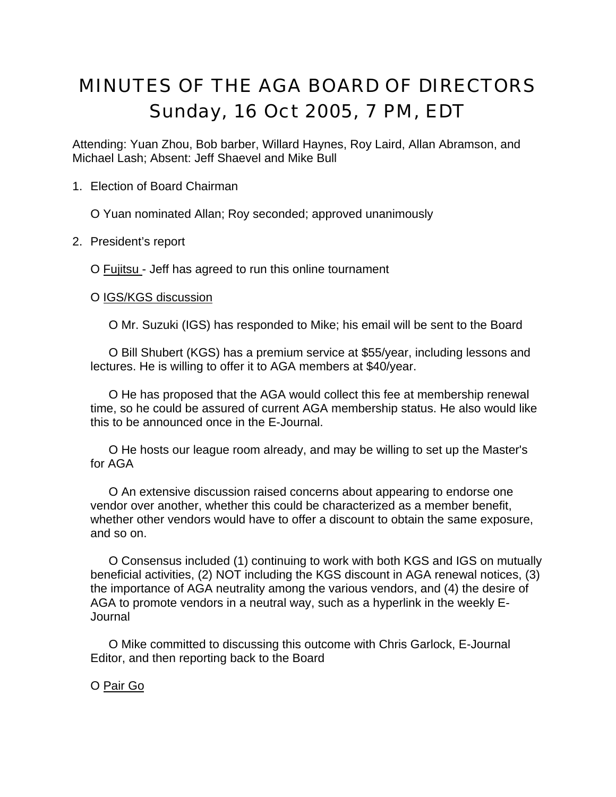# MINUTES OF THE AGA BOARD OF DIRECTORS Sunday, 16 Oct 2005, 7 PM, EDT

Attending: Yuan Zhou, Bob barber, Willard Haynes, Roy Laird, Allan Abramson, and Michael Lash; Absent: Jeff Shaevel and Mike Bull

1. Election of Board Chairman

O Yuan nominated Allan; Roy seconded; approved unanimously

2. President's report

O Fujitsu - Jeff has agreed to run this online tournament

O IGS/KGS discussion

O Mr. Suzuki (IGS) has responded to Mike; his email will be sent to the Board

O Bill Shubert (KGS) has a premium service at \$55/year, including lessons and lectures. He is willing to offer it to AGA members at \$40/year.

O He has proposed that the AGA would collect this fee at membership renewal time, so he could be assured of current AGA membership status. He also would like this to be announced once in the E-Journal.

O He hosts our league room already, and may be willing to set up the Master's for AGA

O An extensive discussion raised concerns about appearing to endorse one vendor over another, whether this could be characterized as a member benefit, whether other vendors would have to offer a discount to obtain the same exposure, and so on.

O Consensus included (1) continuing to work with both KGS and IGS on mutually beneficial activities, (2) NOT including the KGS discount in AGA renewal notices, (3) the importance of AGA neutrality among the various vendors, and (4) the desire of AGA to promote vendors in a neutral way, such as a hyperlink in the weekly E-Journal

O Mike committed to discussing this outcome with Chris Garlock, E-Journal Editor, and then reporting back to the Board

O Pair Go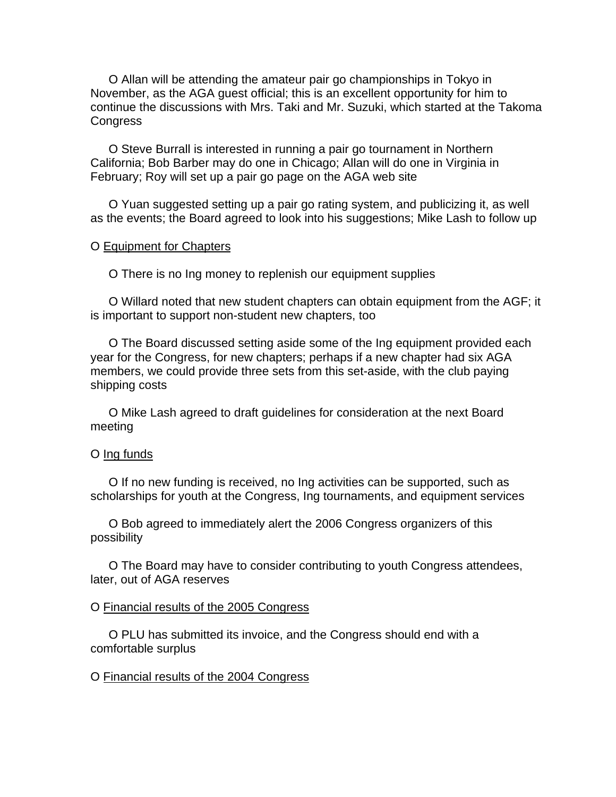O Allan will be attending the amateur pair go championships in Tokyo in November, as the AGA guest official; this is an excellent opportunity for him to continue the discussions with Mrs. Taki and Mr. Suzuki, which started at the Takoma **Congress** 

O Steve Burrall is interested in running a pair go tournament in Northern California; Bob Barber may do one in Chicago; Allan will do one in Virginia in February; Roy will set up a pair go page on the AGA web site

O Yuan suggested setting up a pair go rating system, and publicizing it, as well as the events; the Board agreed to look into his suggestions; Mike Lash to follow up

#### O Equipment for Chapters

O There is no Ing money to replenish our equipment supplies

O Willard noted that new student chapters can obtain equipment from the AGF; it is important to support non-student new chapters, too

O The Board discussed setting aside some of the Ing equipment provided each year for the Congress, for new chapters; perhaps if a new chapter had six AGA members, we could provide three sets from this set-aside, with the club paying shipping costs

O Mike Lash agreed to draft guidelines for consideration at the next Board meeting

## O Ing funds

O If no new funding is received, no Ing activities can be supported, such as scholarships for youth at the Congress, Ing tournaments, and equipment services

O Bob agreed to immediately alert the 2006 Congress organizers of this possibility

O The Board may have to consider contributing to youth Congress attendees, later, out of AGA reserves

#### O Financial results of the 2005 Congress

O PLU has submitted its invoice, and the Congress should end with a comfortable surplus

## O Financial results of the 2004 Congress